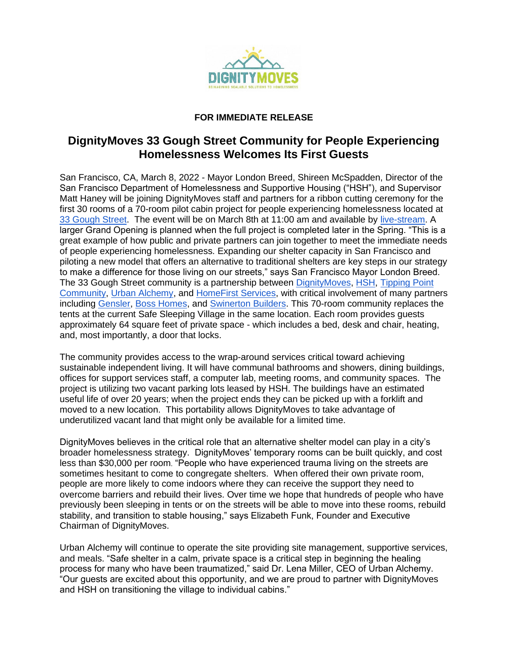

## **FOR IMMEDIATE RELEASE**

## **DignityMoves 33 Gough Street Community for People Experiencing Homelessness Welcomes Its First Guests**

San Francisco, CA, March 8, 2022 - Mayor London Breed, Shireen McSpadden, Director of the San Francisco Department of Homelessness and Supportive Housing ("HSH"), and Supervisor Matt Haney will be joining DignityMoves staff and partners for a ribbon cutting ceremony for the first 30 rooms of a 70-room pilot cabin project for people experiencing homelessness located at [33 Gough Street.](https://www.google.com/maps/place/33+Gough+St,+San+Francisco,+CA+94103/@37.7720341,-122.4213309,17z/data=!3m1!4b1!4m5!3m4!1s0x8085809fd2c85dad:0x2205e424f59add33!8m2!3d37.7720341!4d-122.4213309) The event will be on March 8th at 11:00 am and available by [live-stream.](https://us02web.zoom.us/meeting/register/tZYrfu2vqT0qEtc4D3V5abxTsgB9_DCLvs-I) A larger Grand Opening is planned when the full project is completed later in the Spring. "This is a great example of how public and private partners can join together to meet the immediate needs of people experiencing homelessness. Expanding our shelter capacity in San Francisco and piloting a new model that offers an alternative to traditional shelters are key steps in our strategy to make a difference for those living on our streets," says San Francisco Mayor London Breed. The 33 Gough Street community is a partnership between [DignityMoves,](http://www.dignitymoves.org/) [HSH,](http://www.hsh.sfgov.org/) [Tipping Point](https://tippingpoint.org/)  [Community,](https://tippingpoint.org/) [Urban Alchemy,](https://urban-alchemy.us/) and [HomeFirst Services,](https://www.homefirstscc.org/) with critical involvement of many partners including [Gensler,](http://www.gensler.com/) [Boss Homes,](http://www.bosscubez.com/) and [Swinerton Builders.](http://www.swinerton.com/) This 70-room community replaces the tents at the current Safe Sleeping Village in the same location. Each room provides guests approximately 64 square feet of private space - which includes a bed, desk and chair, heating, and, most importantly, a door that locks.

The community provides access to the wrap-around services critical toward achieving sustainable independent living. It will have communal bathrooms and showers, dining buildings, offices for support services staff, a computer lab, meeting rooms, and community spaces. The project is utilizing two vacant parking lots leased by HSH. The buildings have an estimated useful life of over 20 years; when the project ends they can be picked up with a forklift and moved to a new location. This portability allows DignityMoves to take advantage of underutilized vacant land that might only be available for a limited time.

DignityMoves believes in the critical role that an alternative shelter model can play in a city's broader homelessness strategy. DignityMoves' temporary rooms can be built quickly, and cost less than \$30,000 per room. "People who have experienced trauma living on the streets are sometimes hesitant to come to congregate shelters. When offered their own private room, people are more likely to come indoors where they can receive the support they need to overcome barriers and rebuild their lives. Over time we hope that hundreds of people who have previously been sleeping in tents or on the streets will be able to move into these rooms, rebuild stability, and transition to stable housing," says Elizabeth Funk, Founder and Executive Chairman of DignityMoves.

Urban Alchemy will continue to operate the site providing site management, supportive services, and meals. "Safe shelter in a calm, private space is a critical step in beginning the healing process for many who have been traumatized," said Dr. Lena Miller, CEO of Urban Alchemy. "Our guests are excited about this opportunity, and we are proud to partner with DignityMoves and HSH on transitioning the village to individual cabins."